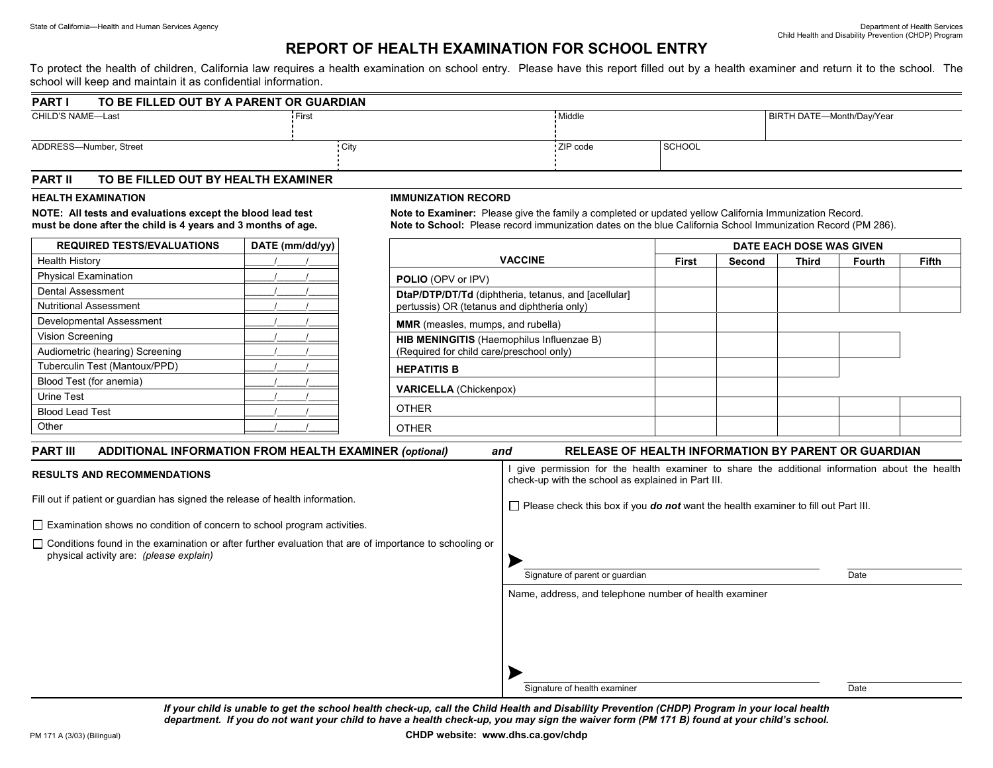## **REPORT OF HEALTH EXAMINATION FOR SCHOOL ENTRY**

To protect the health of children, California law requires a health examination on school entry. Please have this report filled out by a health examiner and return it to the school. The school will keep and maintain it as confidential information.

| <b>PART</b>            | TO BE FILLED OUT BY A PARENT OR GUARDIAN |            |               |                           |  |  |
|------------------------|------------------------------------------|------------|---------------|---------------------------|--|--|
| CHILD'S NAME-Last      | First                                    | Middle     |               | BIRTH DATE-Month/Day/Year |  |  |
| ADDRESS-Number, Street | ∴ City                                   | : ZIP code | <b>SCHOOL</b> |                           |  |  |

### **PART II TO BE FILLED OUT BY HEALTH EXAMINER**

#### **HEALTH EXAMINATION**

**NOTE: All tests and evaluations except the blood lead test must be done after the child is 4 years and 3 months of age.** 

| <b>REQUIRED TESTS/EVALUATIONS</b> | DATE (mm/dd/yy) |  |  |  |
|-----------------------------------|-----------------|--|--|--|
| <b>Health History</b>             |                 |  |  |  |
| <b>Physical Examination</b>       |                 |  |  |  |
| <b>Dental Assessment</b>          |                 |  |  |  |
| <b>Nutritional Assessment</b>     |                 |  |  |  |
| Developmental Assessment          |                 |  |  |  |
| Vision Screening                  |                 |  |  |  |
| Audiometric (hearing) Screening   |                 |  |  |  |
| Tuberculin Test (Mantoux/PPD)     |                 |  |  |  |
| Blood Test (for anemia)           |                 |  |  |  |
| <b>Urine Test</b>                 |                 |  |  |  |
| <b>Blood Lead Test</b>            |                 |  |  |  |
| Other                             |                 |  |  |  |

#### **IMMUNIZATION RECORD**

**Note to Examiner:** Please give the family a completed or updated yellow California Immunization Record. **Note to School:** Please record immunization dates on the blue California School Immunization Record (PM 286).

|                                                                                                     | DATE EACH DOSE WAS GIVEN |        |              |               |              |
|-----------------------------------------------------------------------------------------------------|--------------------------|--------|--------------|---------------|--------------|
| <b>VACCINE</b>                                                                                      | <b>First</b>             | Second | <b>Third</b> | <b>Fourth</b> | <b>Fifth</b> |
| <b>POLIO</b> (OPV or IPV)                                                                           |                          |        |              |               |              |
| DtaP/DTP/DT/Td (diphtheria, tetanus, and [acellular]<br>pertussis) OR (tetanus and diphtheria only) |                          |        |              |               |              |
| <b>MMR</b> (measles, mumps, and rubella)                                                            |                          |        |              |               |              |
| HIB MENINGITIS (Haemophilus Influenzae B)<br>(Required for child care/preschool only)               |                          |        |              |               |              |
| <b>HEPATITIS B</b>                                                                                  |                          |        |              |               |              |
| <b>VARICELLA</b> (Chickenpox)                                                                       |                          |        |              |               |              |
| <b>OTHER</b>                                                                                        |                          |        |              |               |              |
| <b>OTHER</b>                                                                                        |                          |        |              |               |              |

| <b>ADDITIONAL INFORMATION FROM HEALTH EXAMINER (optional)</b><br><b>PART III</b>                                                                         | <b>RELEASE OF HEALTH INFORMATION BY PARENT OR GUARDIAN</b><br>and                                                                                  |  |  |  |  |
|----------------------------------------------------------------------------------------------------------------------------------------------------------|----------------------------------------------------------------------------------------------------------------------------------------------------|--|--|--|--|
| <b>RESULTS AND RECOMMENDATIONS</b>                                                                                                                       | give permission for the health examiner to share the additional information about the health<br>check-up with the school as explained in Part III. |  |  |  |  |
| Fill out if patient or guardian has signed the release of health information.                                                                            | $\Box$ Please check this box if you <b>do not</b> want the health examiner to fill out Part III.                                                   |  |  |  |  |
| $\Box$ Examination shows no condition of concern to school program activities.                                                                           |                                                                                                                                                    |  |  |  |  |
| $\Box$ Conditions found in the examination or after further evaluation that are of importance to schooling or<br>physical activity are: (please explain) | Signature of parent or guardian<br>Date                                                                                                            |  |  |  |  |
|                                                                                                                                                          | Name, address, and telephone number of health examiner                                                                                             |  |  |  |  |
|                                                                                                                                                          | Signature of health examiner<br>Date                                                                                                               |  |  |  |  |

*If your child is unable to get the school health check-up, call the Child Health and Disability Prevention (CHDP) Program in your local health department. If you do not want your child to have a health check-up, you may sign the waiver form (PM 171 B) found at your child's school.*